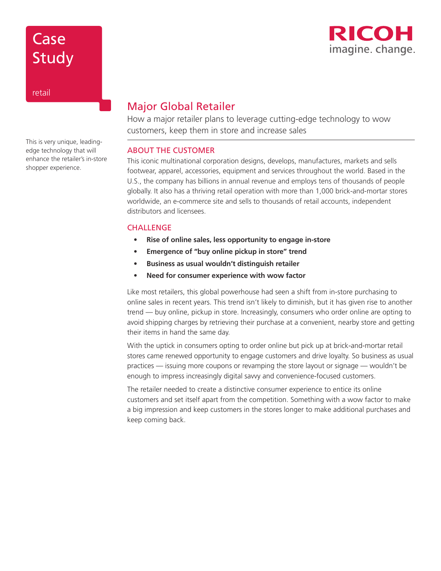# Case **Study**



retail

This is very unique, leadingedge technology that will enhance the retailer's in-store shopper experience.

## Major Global Retailer

How a major retailer plans to leverage cutting-edge technology to wow customers, keep them in store and increase sales

### ABOUT THE CUSTOMER

This iconic multinational corporation designs, develops, manufactures, markets and sells footwear, apparel, accessories, equipment and services throughout the world. Based in the U.S., the company has billions in annual revenue and employs tens of thousands of people globally. It also has a thriving retail operation with more than 1,000 brick-and-mortar stores worldwide, an e-commerce site and sells to thousands of retail accounts, independent distributors and licensees.

### **CHALLENGE**

- **• Rise of online sales, less opportunity to engage in-store**
- **• Emergence of "buy online pickup in store" trend**
- **• Business as usual wouldn't distinguish retailer**
- **• Need for consumer experience with wow factor**

Like most retailers, this global powerhouse had seen a shift from in-store purchasing to online sales in recent years. This trend isn't likely to diminish, but it has given rise to another trend — buy online, pickup in store. Increasingly, consumers who order online are opting to avoid shipping charges by retrieving their purchase at a convenient, nearby store and getting their items in hand the same day.

With the uptick in consumers opting to order online but pick up at brick-and-mortar retail stores came renewed opportunity to engage customers and drive loyalty. So business as usual practices — issuing more coupons or revamping the store layout or signage — wouldn't be enough to impress increasingly digital savvy and convenience-focused customers.

The retailer needed to create a distinctive consumer experience to entice its online customers and set itself apart from the competition. Something with a wow factor to make a big impression and keep customers in the stores longer to make additional purchases and keep coming back.